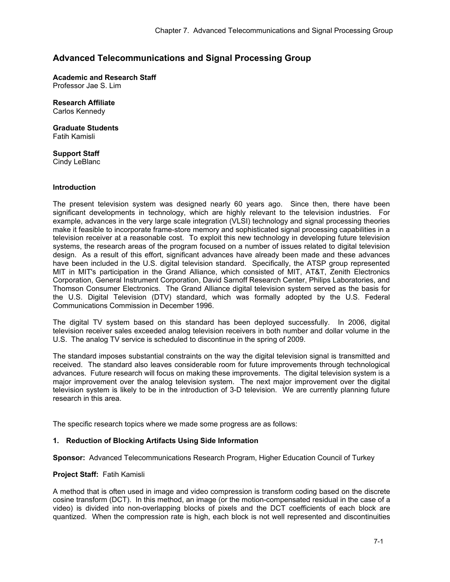# **Advanced Telecommunications and Signal Processing Group**

**Academic and Research Staff**  Professor Jae S. Lim

**Research Affiliate**  Carlos Kennedy

**Graduate Students**  Fatih Kamisli

**Support Staff**  Cindy LeBlanc

### **Introduction**

The present television system was designed nearly 60 years ago. Since then, there have been significant developments in technology, which are highly relevant to the television industries. For example, advances in the very large scale integration (VLSI) technology and signal processing theories make it feasible to incorporate frame-store memory and sophisticated signal processing capabilities in a television receiver at a reasonable cost. To exploit this new technology in developing future television systems, the research areas of the program focused on a number of issues related to digital television design. As a result of this effort, significant advances have already been made and these advances have been included in the U.S. digital television standard. Specifically, the ATSP group represented MIT in MIT's participation in the Grand Alliance, which consisted of MIT, AT&T, Zenith Electronics Corporation, General Instrument Corporation, David Sarnoff Research Center, Philips Laboratories, and Thomson Consumer Electronics. The Grand Alliance digital television system served as the basis for the U.S. Digital Television (DTV) standard, which was formally adopted by the U.S. Federal Communications Commission in December 1996.

The digital TV system based on this standard has been deployed successfully. In 2006, digital television receiver sales exceeded analog television receivers in both number and dollar volume in the U.S. The analog TV service is scheduled to discontinue in the spring of 2009.

The standard imposes substantial constraints on the way the digital television signal is transmitted and received. The standard also leaves considerable room for future improvements through technological advances. Future research will focus on making these improvements. The digital television system is a major improvement over the analog television system. The next major improvement over the digital television system is likely to be in the introduction of 3-D television. We are currently planning future research in this area.

The specific research topics where we made some progress are as follows:

### **1. Reduction of Blocking Artifacts Using Side Information**

**Sponsor:** Advanced Telecommunications Research Program, Higher Education Council of Turkey

### **Project Staff:** Fatih Kamisli

A method that is often used in image and video compression is transform coding based on the discrete cosine transform (DCT). In this method, an image (or the motion-compensated residual in the case of a video) is divided into non-overlapping blocks of pixels and the DCT coefficients of each block are quantized. When the compression rate is high, each block is not well represented and discontinuities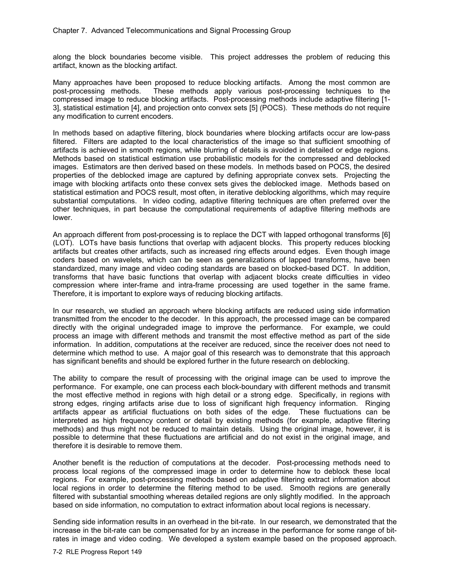along the block boundaries become visible. This project addresses the problem of reducing this artifact, known as the blocking artifact.

Many approaches have been proposed to reduce blocking artifacts. Among the most common are post-processing methods. These methods apply various post-processing techniques to the compressed image to reduce blocking artifacts. Post-processing methods include adaptive filtering [1- 3], statistical estimation [4], and projection onto convex sets [5] (POCS). These methods do not require any modification to current encoders.

In methods based on adaptive filtering, block boundaries where blocking artifacts occur are low-pass filtered. Filters are adapted to the local characteristics of the image so that sufficient smoothing of artifacts is achieved in smooth regions, while blurring of details is avoided in detailed or edge regions. Methods based on statistical estimation use probabilistic models for the compressed and deblocked images. Estimators are then derived based on these models. In methods based on POCS, the desired properties of the deblocked image are captured by defining appropriate convex sets. Projecting the image with blocking artifacts onto these convex sets gives the deblocked image. Methods based on statistical estimation and POCS result, most often, in iterative deblocking algorithms, which may require substantial computations. In video coding, adaptive filtering techniques are often preferred over the other techniques, in part because the computational requirements of adaptive filtering methods are lower.

An approach different from post-processing is to replace the DCT with lapped orthogonal transforms [6] (LOT). LOTs have basis functions that overlap with adjacent blocks. This property reduces blocking artifacts but creates other artifacts, such as increased ring effects around edges. Even though image coders based on wavelets, which can be seen as generalizations of lapped transforms, have been standardized, many image and video coding standards are based on blocked-based DCT. In addition, transforms that have basic functions that overlap with adjacent blocks create difficulties in video compression where inter-frame and intra-frame processing are used together in the same frame. Therefore, it is important to explore ways of reducing blocking artifacts.

In our research, we studied an approach where blocking artifacts are reduced using side information transmitted from the encoder to the decoder. In this approach, the processed image can be compared directly with the original undegraded image to improve the performance. For example, we could process an image with different methods and transmit the most effective method as part of the side information. In addition, computations at the receiver are reduced, since the receiver does not need to determine which method to use. A major goal of this research was to demonstrate that this approach has significant benefits and should be explored further in the future research on deblocking.

The ability to compare the result of processing with the original image can be used to improve the performance. For example, one can process each block-boundary with different methods and transmit the most effective method in regions with high detail or a strong edge. Specifically, in regions with strong edges, ringing artifacts arise due to loss of significant high frequency information. Ringing artifacts appear as artificial fluctuations on both sides of the edge. These fluctuations can be interpreted as high frequency content or detail by existing methods (for example, adaptive filtering methods) and thus might not be reduced to maintain details. Using the original image, however, it is possible to determine that these fluctuations are artificial and do not exist in the original image, and therefore it is desirable to remove them.

Another benefit is the reduction of computations at the decoder. Post-processing methods need to process local regions of the compressed image in order to determine how to deblock these local regions. For example, post-processing methods based on adaptive filtering extract information about local regions in order to determine the filtering method to be used. Smooth regions are generally filtered with substantial smoothing whereas detailed regions are only slightly modified. In the approach based on side information, no computation to extract information about local regions is necessary.

Sending side information results in an overhead in the bit-rate. In our research, we demonstrated that the increase in the bit-rate can be compensated for by an increase in the performance for some range of bitrates in image and video coding. We developed a system example based on the proposed approach.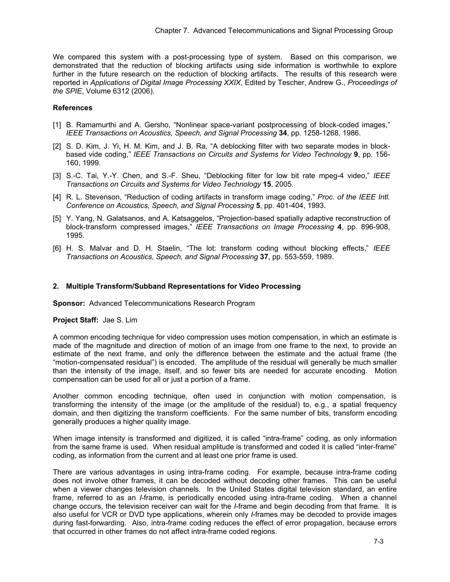We compared this system with a post-processing type of system. Based on this comparison, we demonstrated that the reduction of blocking artifacts using side information is worthwhile to explore further in the future research on the reduction of blocking artifacts. The results of this research were reported in *Applications of Digital Image Processing XXIX*, Edited by Tescher, Andrew G., *Proceedings of the SPIE*, Volume 6312 (2006).

### **References**

- [1] B. Ramamurthi and A. Gersho, "Nonlinear space-variant postprocessing of block-coded images," *IEEE Transactions on Acoustics, Speech, and Signal Processing* **34**, pp. 1258-1268, 1986.
- [2] S. D. Kim, J. Yi, H. M. Kim, and J. B. Ra, "A deblocking filter with two separate modes in blockbased vide coding," *IEEE Transactions on Circuits and Systems for Video Technology* **9**, pp. 156- 160, 1999.
- [3] S.-C. Tai, Y.-Y. Chen, and S.-F. Sheu, "Deblocking filter for low bit rate mpeg-4 video," *IEEE Transactions on Circuits and Systems for Video Technology* **15**, 2005.
- [4] R. L. Stevenson, "Reduction of coding artifacts in transform image coding," *Proc. of the IEEE Intl. Conference on Acoustics, Speech, and Signal Processing* **5**, pp. 401-404, 1993.
- [5] Y. Yang, N. Galatsanos, and A. Katsaggelos, "Projection-based spatially adaptive reconstruction of block-transform compressed images," *IEEE Transactions on Image Processing* **4**, pp. 896-908, 1995.
- [6] H. S. Malvar and D. H. Staelin, "The lot: transform coding without blocking effects," *IEEE Transactions on Acoustics, Speech, and Signal Processing* **37**, pp. 553-559, 1989.

#### **2. Multiple Transform/Subband Representations for Video Processing**

**Sponsor:** Advanced Telecommunications Research Program

#### **Project Staff:** Jae S. Lim

A common encoding technique for video compression uses motion compensation, in which an estimate is made of the magnitude and direction of motion of an image from one frame to the next, to provide an estimate of the next frame, and only the difference between the estimate and the actual frame (the "motion-compensated residual") is encoded. The amplitude of the residual will generally be much smaller than the intensity of the image, itself, and so fewer bits are needed for accurate encoding. Motion compensation can be used for all or just a portion of a frame.

Another common encoding technique, often used in conjunction with motion compensation, is transforming the intensity of the image (or the amplitude of the residual) to, e.g., a spatial frequency domain, and then digitizing the transform coefficients. For the same number of bits, transform encoding generally produces a higher quality image.

When image intensity is transformed and digitized, it is called "intra-frame" coding, as only information from the same frame is used. When residual amplitude is transformed and coded it is called "inter-frame" coding, as information from the current and at least one prior frame is used.

There are various advantages in using intra-frame coding. For example, because intra-frame coding does not involve other frames, it can be decoded without decoding other frames. This can be useful when a viewer changes television channels. In the United States digital television standard, an entire frame, referred to as an *I*-frame, is periodically encoded using intra-frame coding. When a channel change occurs, the television receiver can wait for the *I*-frame and begin decoding from that frame. It is also useful for VCR or DVD type applications, wherein only *I*-frames may be decoded to provide images during fast-forwarding. Also, intra-frame coding reduces the effect of error propagation, because errors that occurred in other frames do not affect intra-frame coded regions.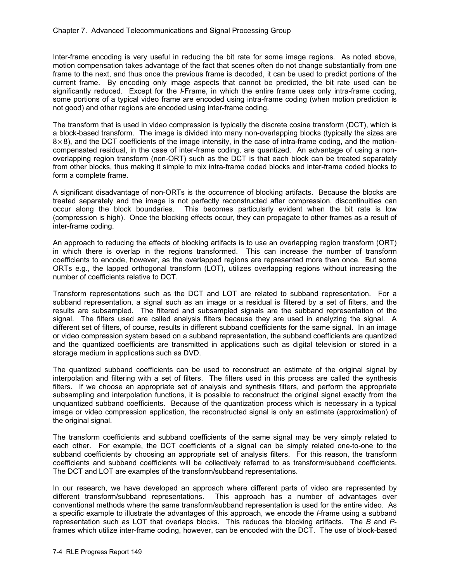Inter-frame encoding is very useful in reducing the bit rate for some image regions. As noted above, motion compensation takes advantage of the fact that scenes often do not change substantially from one frame to the next, and thus once the previous frame is decoded, it can be used to predict portions of the current frame. By encoding only image aspects that cannot be predicted, the bit rate used can be significantly reduced. Except for the *I*-Frame, in which the entire frame uses only intra-frame coding, some portions of a typical video frame are encoded using intra-frame coding (when motion prediction is not good) and other regions are encoded using inter-frame coding.

The transform that is used in video compression is typically the discrete cosine transform (DCT), which is a block-based transform. The image is divided into many non-overlapping blocks (typically the sizes are  $8\times 8$ ), and the DCT coefficients of the image intensity, in the case of intra-frame coding, and the motioncompensated residual, in the case of inter-frame coding, are quantized. An advantage of using a nonoverlapping region transform (non-ORT) such as the DCT is that each block can be treated separately from other blocks, thus making it simple to mix intra-frame coded blocks and inter-frame coded blocks to form a complete frame.

A significant disadvantage of non-ORTs is the occurrence of blocking artifacts. Because the blocks are treated separately and the image is not perfectly reconstructed after compression, discontinuities can occur along the block boundaries. This becomes particularly evident when the bit rate is low (compression is high). Once the blocking effects occur, they can propagate to other frames as a result of inter-frame coding.

An approach to reducing the effects of blocking artifacts is to use an overlapping region transform (ORT) in which there is overlap in the regions transformed. This can increase the number of transform coefficients to encode, however, as the overlapped regions are represented more than once. But some ORTs e.g., the lapped orthogonal transform (LOT), utilizes overlapping regions without increasing the number of coefficients relative to DCT.

Transform representations such as the DCT and LOT are related to subband representation. For a subband representation, a signal such as an image or a residual is filtered by a set of filters, and the results are subsampled. The filtered and subsampled signals are the subband representation of the signal. The filters used are called analysis filters because they are used in analyzing the signal. A different set of filters, of course, results in different subband coefficients for the same signal. In an image or video compression system based on a subband representation, the subband coefficients are quantized and the quantized coefficients are transmitted in applications such as digital television or stored in a storage medium in applications such as DVD.

The quantized subband coefficients can be used to reconstruct an estimate of the original signal by interpolation and filtering with a set of filters. The filters used in this process are called the synthesis filters. If we choose an appropriate set of analysis and synthesis filters, and perform the appropriate subsampling and interpolation functions, it is possible to reconstruct the original signal exactly from the unquantized subband coefficients. Because of the quantization process which is necessary in a typical image or video compression application, the reconstructed signal is only an estimate (approximation) of the original signal.

The transform coefficients and subband coefficients of the same signal may be very simply related to each other. For example, the DCT coefficients of a signal can be simply related one-to-one to the subband coefficients by choosing an appropriate set of analysis filters. For this reason, the transform coefficients and subband coefficients will be collectively referred to as transform/subband coefficients. The DCT and LOT are examples of the transform/subband representations.

In our research, we have developed an approach where different parts of video are represented by different transform/subband representations. This approach has a number of advantages over conventional methods where the same transform/subband representation is used for the entire video. As a specific example to illustrate the advantages of this approach, we encode the *I*-frame using a subband representation such as LOT that overlaps blocks. This reduces the blocking artifacts. The *B* and *P*frames which utilize inter-frame coding, however, can be encoded with the DCT. The use of block-based